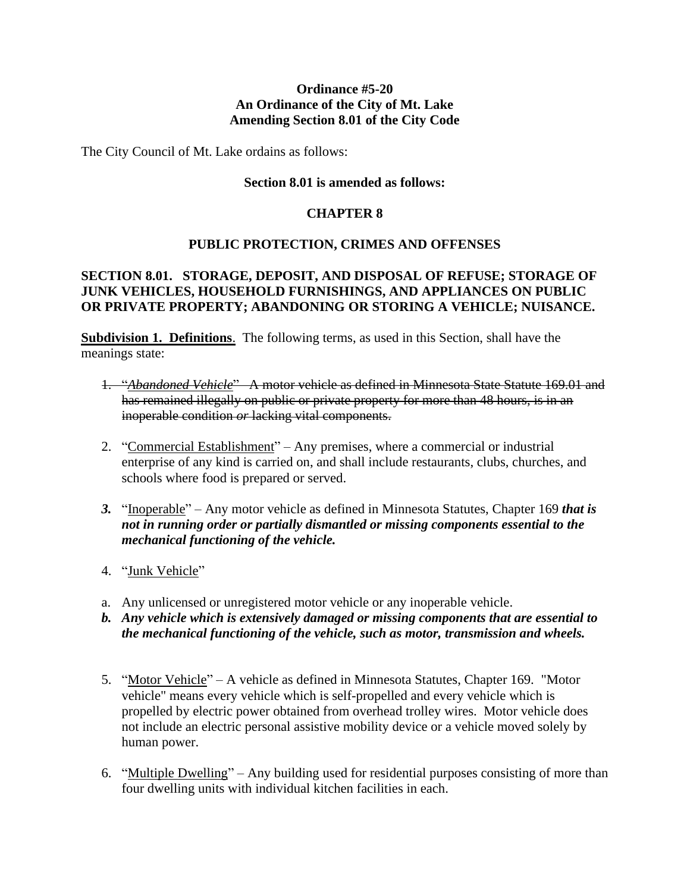## **Ordinance #5-20 An Ordinance of the City of Mt. Lake Amending Section 8.01 of the City Code**

The City Council of Mt. Lake ordains as follows:

### **Section 8.01 is amended as follows:**

### **CHAPTER 8**

## **PUBLIC PROTECTION, CRIMES AND OFFENSES**

# **SECTION 8.01. STORAGE, DEPOSIT, AND DISPOSAL OF REFUSE; STORAGE OF JUNK VEHICLES, HOUSEHOLD FURNISHINGS, AND APPLIANCES ON PUBLIC OR PRIVATE PROPERTY; ABANDONING OR STORING A VEHICLE; NUISANCE.**

**Subdivision 1. Definitions**. The following terms, as used in this Section, shall have the meanings state:

- 1. "*Abandoned Vehicle*" –A motor vehicle as defined in Minnesota State Statute 169.01 and has remained illegally on public or private property for more than 48 hours, is in an inoperable condition *or* lacking vital components.
- 2. "Commercial Establishment" Any premises, where a commercial or industrial enterprise of any kind is carried on, and shall include restaurants, clubs, churches, and schools where food is prepared or served.
- *3.* "Inoperable" Any motor vehicle as defined in Minnesota Statutes, Chapter 169 *that is not in running order or partially dismantled or missing components essential to the mechanical functioning of the vehicle.*
- 4. "Junk Vehicle"
- a. Any unlicensed or unregistered motor vehicle or any inoperable vehicle.
- *b. Any vehicle which is extensively damaged or missing components that are essential to the mechanical functioning of the vehicle, such as motor, transmission and wheels.*
- 5. "Motor Vehicle" A vehicle as defined in Minnesota Statutes, Chapter 169. "Motor vehicle" means every vehicle which is self-propelled and every vehicle which is propelled by electric power obtained from overhead trolley wires. Motor vehicle does not include an electric personal assistive mobility device or a vehicle moved solely by human power.
- 6. "Multiple Dwelling" Any building used for residential purposes consisting of more than four dwelling units with individual kitchen facilities in each.